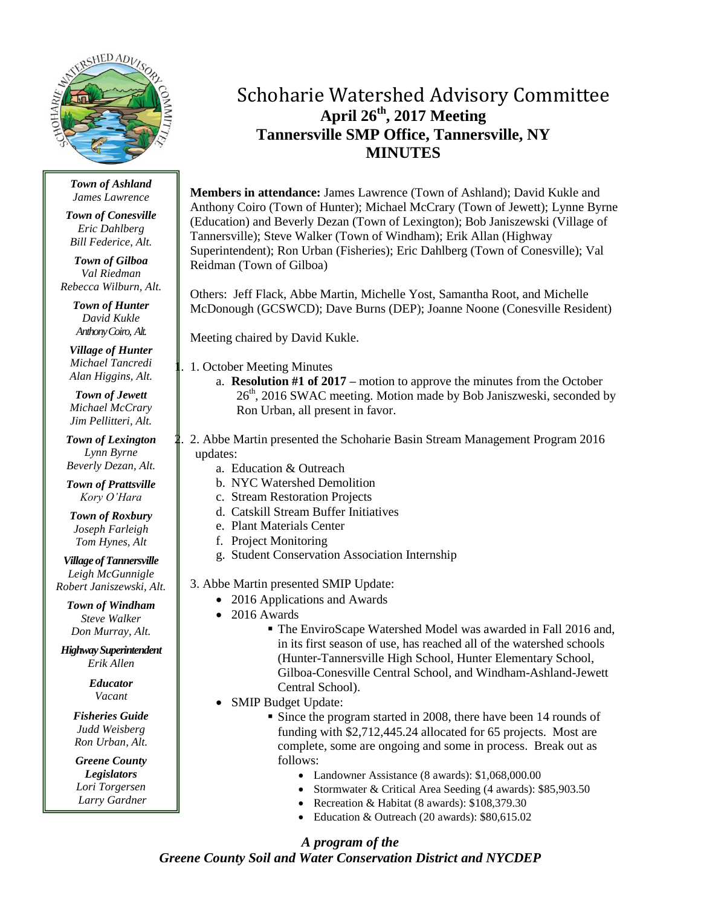

*Town of Ashland James Lawrence*

*Town of Conesville Eric Dahlberg Bill Federice, Alt.*

*Town of Gilboa Val Riedman Rebecca Wilburn, Alt.*

> *Town of Hunter David Kukle Anthony Coiro, Alt.*

*Village of Hunter Michael Tancredi Alan Higgins, Alt.*

*Town of Jewett Michael McCrary Jim Pellitteri, Alt.*

*Town of Lexington Lynn Byrne Beverly Dezan, Alt.*

*Town of Prattsville Kory O'Hara*

*Town of Roxbury Joseph Farleigh Tom Hynes, Alt*

*Village of Tannersville Leigh McGunnigle Robert Janiszewski, Alt.*

*Town of Windham Steve Walker Don Murray, Alt.*

*Highway Superintendent Erik Allen*

> *Educator Vacant*

*Fisheries Guide Judd Weisberg Ron Urban, Alt.*

*Greene County Legislators Lori Torgersen Larry Gardner*

# Schoharie Watershed Advisory Committee **April 26th , 2017 Meeting Tannersville SMP Office, Tannersville, NY MINUTES**

**Members in attendance:** James Lawrence (Town of Ashland); David Kukle and Anthony Coiro (Town of Hunter); Michael McCrary (Town of Jewett); Lynne Byrne (Education) and Beverly Dezan (Town of Lexington); Bob Janiszewski (Village of Tannersville); Steve Walker (Town of Windham); Erik Allan (Highway Superintendent); Ron Urban (Fisheries); Eric Dahlberg (Town of Conesville); Val Reidman (Town of Gilboa)

Others: Jeff Flack, Abbe Martin, Michelle Yost, Samantha Root, and Michelle McDonough (GCSWCD); Dave Burns (DEP); Joanne Noone (Conesville Resident)

Meeting chaired by David Kukle.

1. October Meeting Minutes

a. **Resolution #1 of 2017 –** motion to approve the minutes from the October  $26<sup>th</sup>$ , 2016 SWAC meeting. Motion made by Bob Janiszweski, seconded by Ron Urban, all present in favor.

2. 2. Abbe Martin presented the Schoharie Basin Stream Management Program 2016 updates:

- a. Education & Outreach
- b. NYC Watershed Demolition
- c. Stream Restoration Projects
- d. Catskill Stream Buffer Initiatives
- e. Plant Materials Center
- f. Project Monitoring
- g. Student Conservation Association Internship

3. Abbe Martin presented SMIP Update:

- 2016 Applications and Awards
- 2016 Awards
	- The EnviroScape Watershed Model was awarded in Fall 2016 and, in its first season of use, has reached all of the watershed schools (Hunter-Tannersville High School, Hunter Elementary School, Gilboa-Conesville Central School, and Windham-Ashland-Jewett Central School).
- SMIP Budget Update:
	- Since the program started in 2008, there have been 14 rounds of funding with \$2,712,445.24 allocated for 65 projects. Most are complete, some are ongoing and some in process. Break out as follows:
		- Landowner Assistance (8 awards): \$1,068,000.00
		- Stormwater & Critical Area Seeding (4 awards): \$85,903.50
		- Recreation & Habitat (8 awards): \$108,379.30
		- Education & Outreach (20 awards): \$80,615.02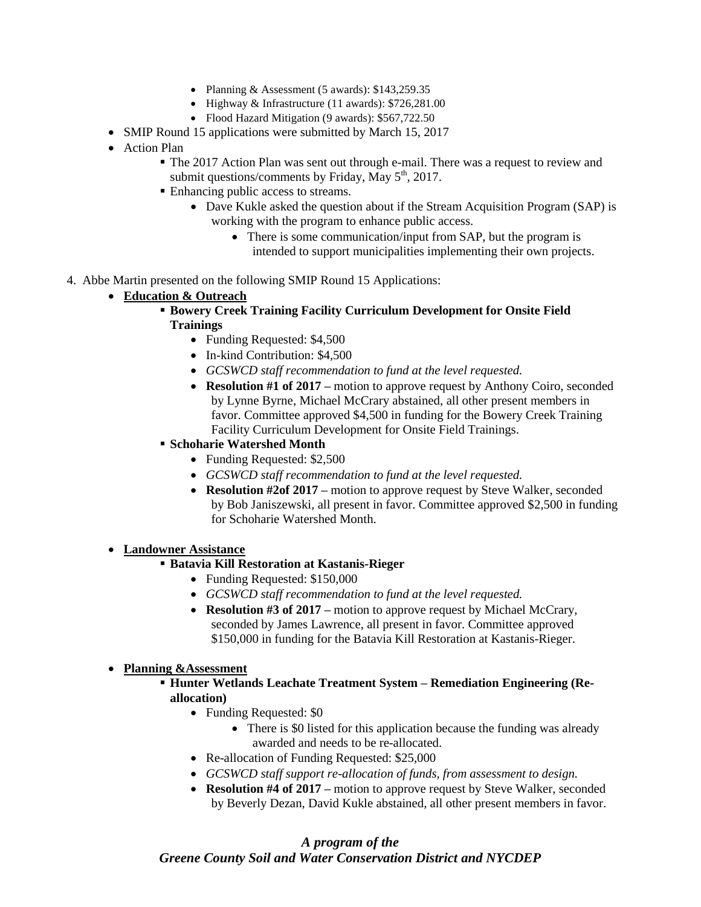- Planning & Assessment (5 awards):  $$143,259.35$
- Highway & Infrastructure (11 awards): \$726,281.00
- Flood Hazard Mitigation (9 awards): \$567,722.50
- SMIP Round 15 applications were submitted by March 15, 2017
- Action Plan
	- The 2017 Action Plan was sent out through e-mail. There was a request to review and submit questions/comments by Friday, May  $5<sup>th</sup>$ , 2017.
	- Enhancing public access to streams.
		- Dave Kukle asked the question about if the Stream Acquisition Program (SAP) is working with the program to enhance public access.
			- There is some communication/input from SAP, but the program is intended to support municipalities implementing their own projects.
- 4. Abbe Martin presented on the following SMIP Round 15 Applications:
	- **Education & Outreach**
		- **Bowery Creek Training Facility Curriculum Development for Onsite Field Trainings**
			- Funding Requested: \$4,500
			- In-kind Contribution: \$4,500
			- *GCSWCD staff recommendation to fund at the level requested.*
			- **Resolution #1 of 2017 –** motion to approve request by Anthony Coiro, seconded by Lynne Byrne, Michael McCrary abstained, all other present members in favor. Committee approved \$4,500 in funding for the Bowery Creek Training Facility Curriculum Development for Onsite Field Trainings.
		- **Schoharie Watershed Month**
			- Funding Requested: \$2,500
			- *GCSWCD staff recommendation to fund at the level requested.*
			- **Resolution #2of 2017 –** motion to approve request by Steve Walker, seconded by Bob Janiszewski, all present in favor. Committee approved \$2,500 in funding for Schoharie Watershed Month.
	- **Landowner Assistance**
		- **Batavia Kill Restoration at Kastanis-Rieger**
			- Funding Requested: \$150,000
			- *GCSWCD staff recommendation to fund at the level requested.*
			- **Resolution #3 of 2017** motion to approve request by Michael McCrary, seconded by James Lawrence, all present in favor. Committee approved \$150,000 in funding for the Batavia Kill Restoration at Kastanis-Rieger.

#### **Planning &Assessment**

- **Hunter Wetlands Leachate Treatment System – Remediation Engineering (Reallocation)**
	- Funding Requested: \$0
		- There is \$0 listed for this application because the funding was already awarded and needs to be re-allocated.
	- Re-allocation of Funding Requested: \$25,000
	- *GCSWCD staff support re-allocation of funds, from assessment to design.*
	- **Resolution #4 of 2017 –** motion to approve request by Steve Walker, seconded by Beverly Dezan, David Kukle abstained, all other present members in favor.

### *A program of the Greene County Soil and Water Conservation District and NYCDEP*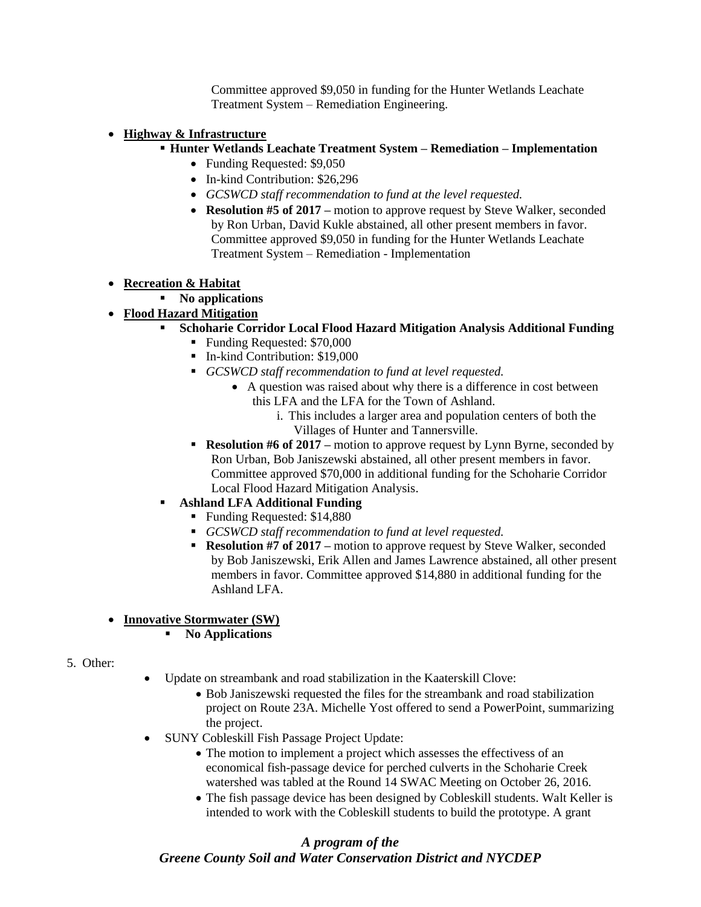Committee approved \$9,050 in funding for the Hunter Wetlands Leachate Treatment System – Remediation Engineering.

#### **Highway & Infrastructure**

- **Hunter Wetlands Leachate Treatment System – Remediation – Implementation** 
	- Funding Requested: \$9,050
	- In-kind Contribution: \$26,296
	- *GCSWCD staff recommendation to fund at the level requested.*
	- **Resolution #5 of 2017 –** motion to approve request by Steve Walker, seconded by Ron Urban, David Kukle abstained, all other present members in favor. Committee approved \$9,050 in funding for the Hunter Wetlands Leachate Treatment System – Remediation - Implementation

### **Recreation & Habitat**

**No applications** 

## **Flood Hazard Mitigation**

- **Schoharie Corridor Local Flood Hazard Mitigation Analysis Additional Funding**
	- Funding Requested: \$70,000
	- In-kind Contribution: \$19,000
	- *GCSWCD staff recommendation to fund at level requested.*
		- A question was raised about why there is a difference in cost between this LFA and the LFA for the Town of Ashland.
			- i. This includes a larger area and population centers of both the Villages of Hunter and Tannersville.
	- **Resolution #6 of 2017** motion to approve request by Lynn Byrne, seconded by Ron Urban, Bob Janiszewski abstained, all other present members in favor. Committee approved \$70,000 in additional funding for the Schoharie Corridor Local Flood Hazard Mitigation Analysis.
- **Ashland LFA Additional Funding**
	- Funding Requested: \$14,880
	- *GCSWCD staff recommendation to fund at level requested.*
	- **Resolution #7 of 2017** motion to approve request by Steve Walker, seconded by Bob Janiszewski, Erik Allen and James Lawrence abstained, all other present members in favor. Committee approved \$14,880 in additional funding for the Ashland LFA.

#### **Innovative Stormwater (SW)**

- **No Applications**
- 5. Other:
- Update on streambank and road stabilization in the Kaaterskill Clove:
	- Bob Janiszewski requested the files for the streambank and road stabilization project on Route 23A. Michelle Yost offered to send a PowerPoint, summarizing the project.
- SUNY Cobleskill Fish Passage Project Update:
	- The motion to implement a project which assesses the effectivess of an economical fish-passage device for perched culverts in the Schoharie Creek watershed was tabled at the Round 14 SWAC Meeting on October 26, 2016.
	- The fish passage device has been designed by Cobleskill students. Walt Keller is intended to work with the Cobleskill students to build the prototype. A grant

# *A program of the Greene County Soil and Water Conservation District and NYCDEP*